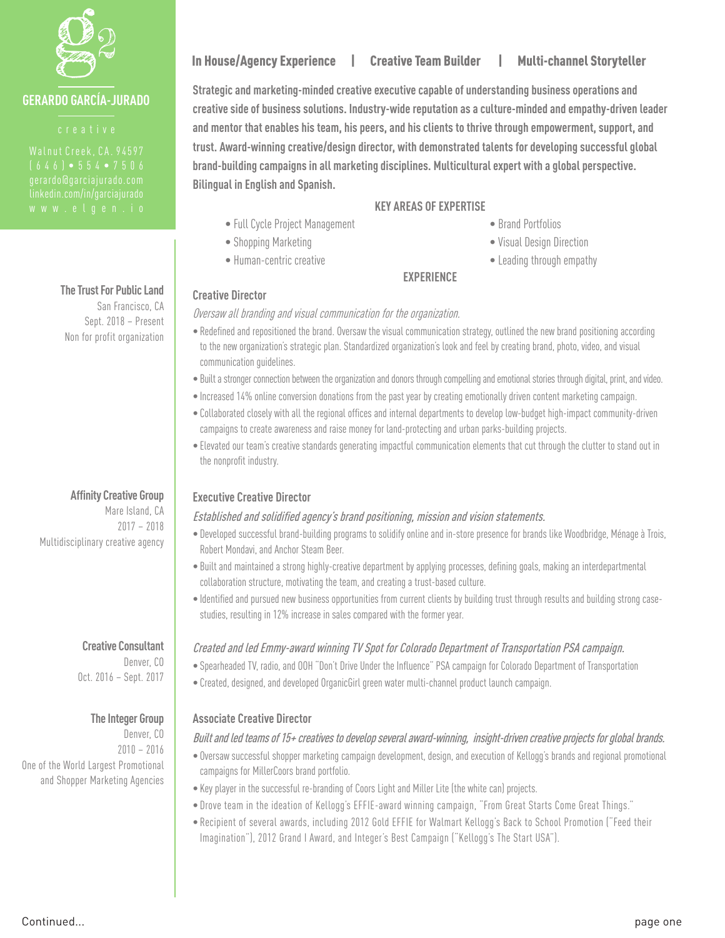

## **GERARDO GARCÍA-JURADO**

**The Trust For Public Land** San Francisco, CA Sept. 2018 – Present Non for profit organization

**Affinity Creative Group** Mare Island, CA

2017 – 2018 Multidisciplinary creative agency

#### **Creative Consultant**

Denver, CO Oct. 2016 – Sept. 2017

#### **The Integer Group**

Denver, CO 2010 – 2016 One of the World Largest Promotional and Shopper Marketing Agencies

# In House/Agency Experience | Creative Team Builder | Multi-channel Storyteller

**Strategic and marketing-minded creative executive capable of understanding business operations and creative side of business solutions. Industry-wide reputation as a culture-minded and empathy-driven leader and mentor that enables his team, his peers, and his clients to thrive through empowerment, support, and trust. Award-winning creative/design director, with demonstrated talents for developing successful global brand-building campaigns in all marketing disciplines. Multicultural expert with a global perspective. Bilingual in English and Spanish.** 

- Full Cycle Project Management
- Shopping Marketing
- Human-centric creative

### **KEY AREAS OF EXPERTISE**

- Brand Portfolios
- Visual Design Direction
- Leading through empathy

#### **EXPERIENCE**

#### **Creative Director**

Oversaw all branding and visual communication for the organization.

- Redefined and repositioned the brand. Oversaw the visual communication strategy, outlined the new brand positioning according to the new organization's strategic plan. Standardized organization's look and feel by creating brand, photo, video, and visual communication guidelines.
- Built a stronger connection between the organization and donors through compelling and emotional stories through digital, print, and video.
- Increased 14% online conversion donations from the past year by creating emotionally driven content marketing campaign.
- Collaborated closely with all the regional offices and internal departments to develop low-budget high-impact community-driven campaigns to create awareness and raise money for land-protecting and urban parks-building projects.
- Elevated our team's creative standards generating impactful communication elements that cut through the clutter to stand out in the nonprofit industry.

### **Executive Creative Director**

#### Established and solidified agency's brand positioning, mission and vision statements.

- Developed successful brand-building programs to solidify online and in-store presence for brands like Woodbridge, Ménage à Trois, Robert Mondavi, and Anchor Steam Beer.
- Built and maintained a strong highly-creative department by applying processes, defining goals, making an interdepartmental collaboration structure, motivating the team, and creating a trust-based culture.
- Identified and pursued new business opportunities from current clients by building trust through results and building strong casestudies, resulting in 12% increase in sales compared with the former year.

### Created and led Emmy-award winning TV Spot for Colorado Department of Transportation PSA campaign.

- Spearheaded TV, radio, and OOH "Don't Drive Under the Influence" PSA campaign for Colorado Department of Transportation
- Created, designed, and developed OrganicGirl green water multi-channel product launch campaign.

### **Associate Creative Director**

#### Built and led teams of 15+ creatives to develop several award-winning, insight-driven creative projects for global brands.

- Oversaw successful shopper marketing campaign development, design, and execution of Kellogg's brands and regional promotional campaigns for MillerCoors brand portfolio.
- Key player in the successful re-branding of Coors Light and Miller Lite (the white can) projects.
- Drove team in the ideation of Kellogg's EFFIE-award winning campaign, "From Great Starts Come Great Things."
- Recipient of several awards, including 2012 Gold EFFIE for Walmart Kellogg's Back to School Promotion ("Feed their Imagination"), 2012 Grand I Award, and Integer's Best Campaign ("Kellogg's The Start USA").